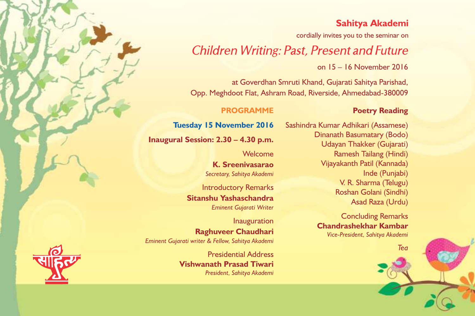## **Sahitya Akademi**

cordially invites you to the seminar on

## *Children Writing: Past, Present and Future*

on 15 – 16 November 2016

at Goverdhan Smruti Khand, Gujarati Sahitya Parishad, Opp. Meghdoot Flat, Ashram Road, Riverside, Ahmedabad-380009

#### **PROGRAMME**

**Tuesday 15 November 2016**

**Inaugural Session: 2.30 – 4.30 p.m.**

Welcome **K. Sreenivasarao** *Secretary, Sahitya Akademi*

Introductory Remarks **Sitanshu Yashaschandra** *Eminent Gujarati Writer*

Inauguration **Raghuveer Chaudhari** *Eminent Gujarati writer & Fellow, Sahitya Akademi*

> Presidential Address **Vishwanath Prasad Tiwari** *President, Sahitya Akademi*

Sashindra Kumar Adhikari (Assamese) Dinanath Basumatary (Bodo)

**Poetry Reading**

Udayan Thakker (Gujarati) Ramesh Tailang (Hindi) Vijayakanth Patil (Kannada) Inde (Punjabi) V. R. Sharma (Telugu) Roshan Golani (Sindhi) Asad Raza (Urdu)

Concluding Remarks **Chandrashekhar Kambar** *Vice-President, Sahitya Akademi*

*Tea*

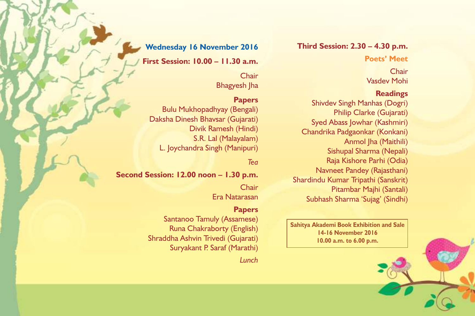**Third Session: 2.30 – 4.30 p.m.**

**Poets' Meet**

**Chair** Vasdev Mohi

### **Readings**

Shivdev Singh Manhas (Dogri) Philip Clarke (Gujarati) Syed Abass Jowhar (Kashmiri) Chandrika Padgaonkar (Konkani) Anmol Jha (Maithili) Sishupal Sharma (Nepali) Raja Kishore Parhi (Odia) Navneet Pandey (Rajasthani) Shardindu Kumar Tripathi (Sanskrit) Pitambar Majhi (Santali) Subhash Sharma 'Sujag' (Sindhi)

**Sahitya Akademi Book Exhibition and Sale 14-16 November 2016 10.00 a.m. to 6.00 p.m.**

**Wednesday 16 November 2016**

**First Session: 10.00 – 11.30 a.m.**

**Chair** Bhagyesh Jha

### **Papers**

Bulu Mukhopadhyay (Bengali) Daksha Dinesh Bhavsar (Gujarati) Divik Ramesh (Hindi) S.R. Lal (Malayalam) L. Joychandra Singh (Manipuri)

### *Tea*

**Second Session: 12.00 noon – 1.30 p.m.**

**Chair** Era Natarasan

### **Papers**

Santanoo Tamuly (Assamese) Runa Chakraborty (English) Shraddha Ashvin Trivedi (Gujarati) Suryakant P. Saraf (Marathi)

*Lunch*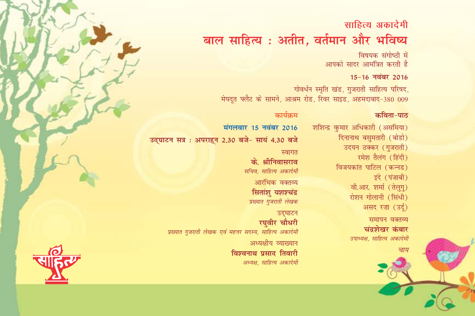# साहित्य अकादेमी बाल साहित्य : अतीत, वर्तमान और भविष्य

विषयक संगोष्ठी में आपको सादर आमंत्रित करती है

### 15-16 नवंबर 2016

गोवर्धन स्मृति खंड, गुजराती साहित्य परिषद, मेघदूत फ्लैट के सामने, आश्रम रोड, रिवर साइड, अहमदाबाद-380 009

#### कविता-पाठ

शशिन्द्र कुमार अधिकारी (असमिया) दिनानाथ बसुमतारी (बोडो) उदयन ठक्कर (गुजराती) रमेश तैलंग (हिंदी) विजयकांत पाटिल (कन्नड) इंदे (पंजाबी) वी.आर. शर्मा (तेलुग) रोशन गोलानी (सिंधी) असद रज़ा (उर्दू)

### समापन वक्तव्य चंद्रशेखर कंबार उपाध्यक्ष, साहित्य अकादेमी

### कार्यक्रम

मंगलवार 15 नवंबर 2016 उद्घाटन सत्र: अपराहन 2.30 बजे- सायं 4.30 बजे

### स्वागत

के. श्रीनिवासराव सचिव, साहित्य अकादेमी आरंभिक वक्तव्य सितांशु यशश्चंद्र प्रख्यात गुजराती लेखक

उद्घाटन रघवीर चौधरी प्रख्यात गुजराती लेखक एवं महत्तर सदस्य, साहित्य अकादेमी

> अध्यक्षीय व्याख्यान विश्वनाथ प्रसाद तिवारी अध्यक्ष, साहित्य अकादेमी